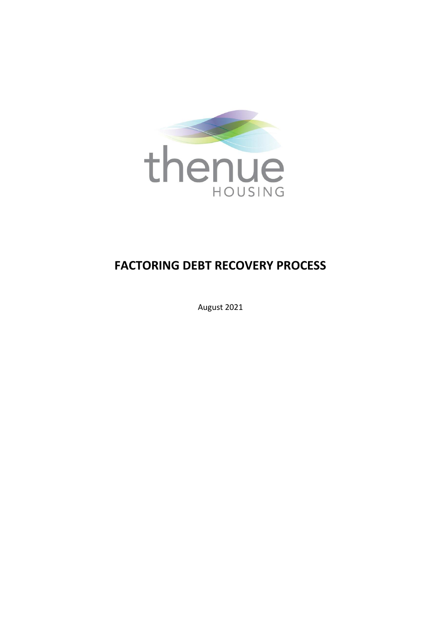

# **FACTORING DEBT RECOVERY PROCESS**

August 2021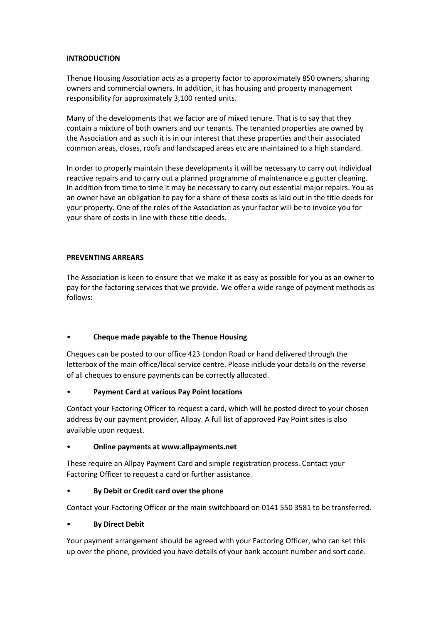## **INTRODUCTION**

Thenue Housing Association acts as a property factor to approximately 850 owners, sharing owners and commercial owners. In addition, it has housing and property management responsibility for approximately 3,100 rented units.

Many of the developments that we factor are of mixed tenure. That is to say that they contain a mixture of both owners and our tenants. The tenanted properties are owned by the Association and as such it is in our interest that these properties and their associated common areas, closes, roofs and landscaped areas etc are maintained to a high standard.

In order to properly maintain these developments it will be necessary to carry out individual reactive repairs and to carry out a planned programme of maintenance e.g gutter cleaning. In addition from time to time it may be necessary to carry out essential major repairs. You as an owner have an obligation to pay for a share of these costs as laid out in the title deeds for your property. One of the roles of the Association as your factor will be to invoice you for your share of costs in line with these title deeds.

## **PREVENTING ARREARS**

The Association is keen to ensure that we make it as easy as possible for you as an owner to pay for the factoring services that we provide. We offer a wide range of payment methods as follows:

# • **Cheque made payable to the Thenue Housing**

Cheques can be posted to our office 423 London Road or hand delivered through the letterbox of the main office/local service centre. Please include your details on the reverse of all cheques to ensure payments can be correctly allocated.

## • **Payment Card at various Pay Point locations**

Contact your Factoring Officer to request a card, which will be posted direct to your chosen address by our payment provider, Allpay. A full list of approved Pay Point sites is also available upon request.

## • **Online payments at www.allpayments.net**

These require an Allpay Payment Card and simple registration process. Contact your Factoring Officer to request a card or further assistance.

## • **By Debit or Credit card over the phone**

Contact your Factoring Officer or the main switchboard on 0141 550 3581 to be transferred.

## • **By Direct Debit**

Your payment arrangement should be agreed with your Factoring Officer, who can set this up over the phone, provided you have details of your bank account number and sort code.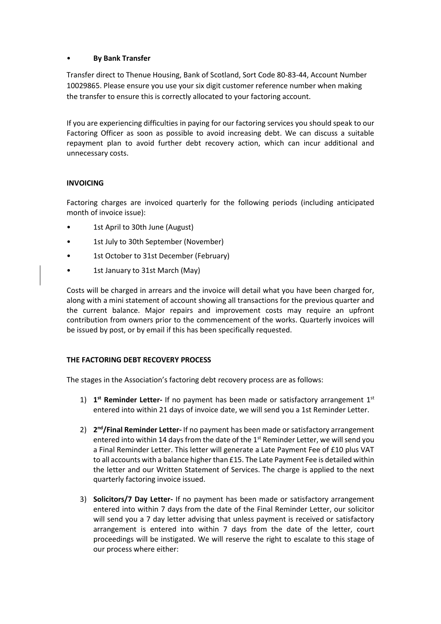## • **By Bank Transfer**

Transfer direct to Thenue Housing, Bank of Scotland, Sort Code 80-83-44, Account Number 10029865. Please ensure you use your six digit customer reference number when making the transfer to ensure this is correctly allocated to your factoring account.

If you are experiencing difficulties in paying for our factoring services you should speak to our Factoring Officer as soon as possible to avoid increasing debt. We can discuss a suitable repayment plan to avoid further debt recovery action, which can incur additional and unnecessary costs.

## **INVOICING**

Factoring charges are invoiced quarterly for the following periods (including anticipated month of invoice issue):

- 1st April to 30th June (August)
- 1st July to 30th September (November)
- 1st October to 31st December (February)
- 1st January to 31st March (May)

Costs will be charged in arrears and the invoice will detail what you have been charged for, along with a mini statement of account showing all transactions for the previous quarter and the current balance. Major repairs and improvement costs may require an upfront contribution from owners prior to the commencement of the works. Quarterly invoices will be issued by post, or by email if this has been specifically requested.

# **THE FACTORING DEBT RECOVERY PROCESS**

The stages in the Association's factoring debt recovery process are as follows:

- 1) 1<sup>st</sup> Reminder Letter- If no payment has been made or satisfactory arrangement 1<sup>st</sup> entered into within 21 days of invoice date, we will send you a 1st Reminder Letter.
- 2) **2<sup>nd</sup>/Final Reminder Letter-** If no payment has been made or satisfactory arrangement entered into within 14 days from the date of the  $1<sup>st</sup>$  Reminder Letter, we will send you a Final Reminder Letter. This letter will generate a Late Payment Fee of £10 plus VAT to all accounts with a balance higher than £15. The Late Payment Fee is detailed within the letter and our Written Statement of Services. The charge is applied to the next quarterly factoring invoice issued.
- 3) **Solicitors/7 Day Letter-** If no payment has been made or satisfactory arrangement entered into within 7 days from the date of the Final Reminder Letter, our solicitor will send you a 7 day letter advising that unless payment is received or satisfactory arrangement is entered into within 7 days from the date of the letter, court proceedings will be instigated. We will reserve the right to escalate to this stage of our process where either: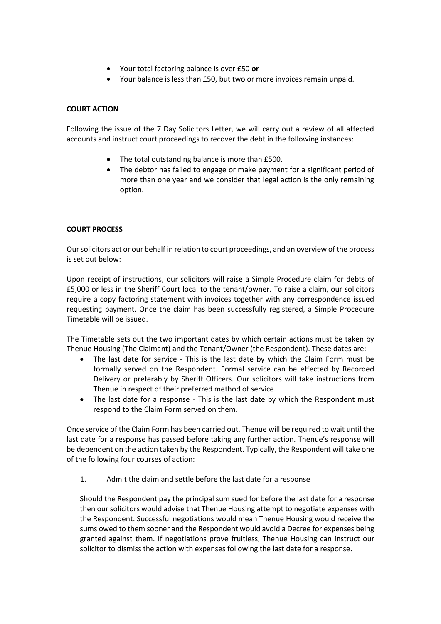- Your total factoring balance is over £50 **or**
- Your balance is less than £50, but two or more invoices remain unpaid.

## **COURT ACTION**

Following the issue of the 7 Day Solicitors Letter, we will carry out a review of all affected accounts and instruct court proceedings to recover the debt in the following instances:

- The total outstanding balance is more than £500.
- The debtor has failed to engage or make payment for a significant period of more than one year and we consider that legal action is the only remaining option.

## **COURT PROCESS**

Our solicitors act or our behalf in relation to court proceedings, and an overview of the process is set out below:

Upon receipt of instructions, our solicitors will raise a Simple Procedure claim for debts of £5,000 or less in the Sheriff Court local to the tenant/owner. To raise a claim, our solicitors require a copy factoring statement with invoices together with any correspondence issued requesting payment. Once the claim has been successfully registered, a Simple Procedure Timetable will be issued.

The Timetable sets out the two important dates by which certain actions must be taken by Thenue Housing (The Claimant) and the Tenant/Owner (the Respondent). These dates are:

- The last date for service This is the last date by which the Claim Form must be formally served on the Respondent. Formal service can be effected by Recorded Delivery or preferably by Sheriff Officers. Our solicitors will take instructions from Thenue in respect of their preferred method of service.
- The last date for a response This is the last date by which the Respondent must respond to the Claim Form served on them.

Once service of the Claim Form has been carried out, Thenue will be required to wait until the last date for a response has passed before taking any further action. Thenue's response will be dependent on the action taken by the Respondent. Typically, the Respondent will take one of the following four courses of action:

1. Admit the claim and settle before the last date for a response

Should the Respondent pay the principal sum sued for before the last date for a response then our solicitors would advise that Thenue Housing attempt to negotiate expenses with the Respondent. Successful negotiations would mean Thenue Housing would receive the sums owed to them sooner and the Respondent would avoid a Decree for expenses being granted against them. If negotiations prove fruitless, Thenue Housing can instruct our solicitor to dismiss the action with expenses following the last date for a response.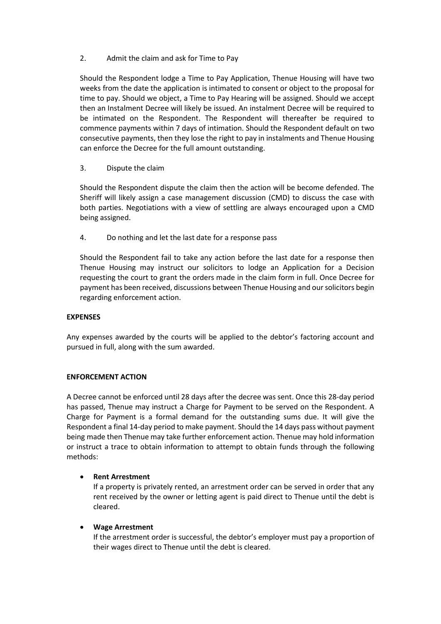2. Admit the claim and ask for Time to Pay

Should the Respondent lodge a Time to Pay Application, Thenue Housing will have two weeks from the date the application is intimated to consent or object to the proposal for time to pay. Should we object, a Time to Pay Hearing will be assigned. Should we accept then an Instalment Decree will likely be issued. An instalment Decree will be required to be intimated on the Respondent. The Respondent will thereafter be required to commence payments within 7 days of intimation. Should the Respondent default on two consecutive payments, then they lose the right to pay in instalments and Thenue Housing can enforce the Decree for the full amount outstanding.

## 3. Dispute the claim

Should the Respondent dispute the claim then the action will be become defended. The Sheriff will likely assign a case management discussion (CMD) to discuss the case with both parties. Negotiations with a view of settling are always encouraged upon a CMD being assigned.

4. Do nothing and let the last date for a response pass

Should the Respondent fail to take any action before the last date for a response then Thenue Housing may instruct our solicitors to lodge an Application for a Decision requesting the court to grant the orders made in the claim form in full. Once Decree for payment has been received, discussions between Thenue Housing and our solicitors begin regarding enforcement action.

## **EXPENSES**

Any expenses awarded by the courts will be applied to the debtor's factoring account and pursued in full, along with the sum awarded.

## **ENFORCEMENT ACTION**

A Decree cannot be enforced until 28 days after the decree was sent. Once this 28-day period has passed, Thenue may instruct a Charge for Payment to be served on the Respondent. A Charge for Payment is a formal demand for the outstanding sums due. It will give the Respondent a final 14-day period to make payment. Should the 14 days pass without payment being made then Thenue may take further enforcement action. Thenue may hold information or instruct a trace to obtain information to attempt to obtain funds through the following methods:

# • **Rent Arrestment**

If a property is privately rented, an arrestment order can be served in order that any rent received by the owner or letting agent is paid direct to Thenue until the debt is cleared.

# • **Wage Arrestment**

If the arrestment order is successful, the debtor's employer must pay a proportion of their wages direct to Thenue until the debt is cleared.